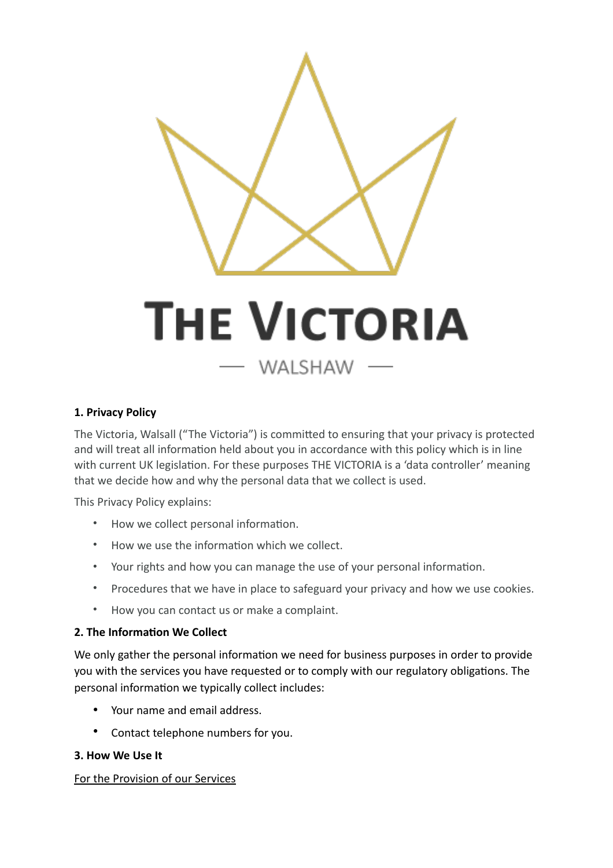

### **1. Privacy Policy**

The Victoria, Walsall ("The Victoria") is committed to ensuring that your privacy is protected and will treat all information held about you in accordance with this policy which is in line with current UK legislation. For these purposes THE VICTORIA is a 'data controller' meaning that we decide how and why the personal data that we collect is used.

This Privacy Policy explains:

- How we collect personal information.
- How we use the information which we collect.
- Your rights and how you can manage the use of your personal information.
- Procedures that we have in place to safeguard your privacy and how we use cookies.
- How you can contact us or make a complaint.

#### **2. The Information We Collect**

We only gather the personal information we need for business purposes in order to provide you with the services you have requested or to comply with our regulatory obligations. The personal information we typically collect includes:

- Your name and email address.
- Contact telephone numbers for you.

#### **3. How We Use It**

#### For the Provision of our Services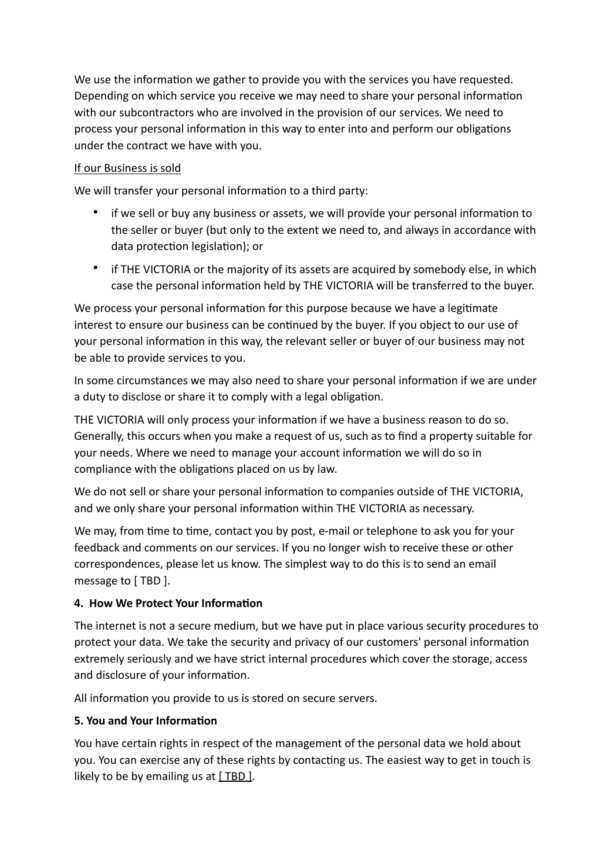We use the information we gather to provide you with the services you have requested. Depending on which service you receive we may need to share your personal information with our subcontractors who are involved in the provision of our services. We need to process your personal information in this way to enter into and perform our obligations under the contract we have with you.

## If our Business is sold

We will transfer your personal information to a third party:

- if we sell or buy any business or assets, we will provide your personal information to the seller or buyer (but only to the extent we need to, and always in accordance with data protection legislation); or
- if THE VICTORIA or the majority of its assets are acquired by somebody else, in which case the personal information held by THE VICTORIA will be transferred to the buyer.

We process your personal information for this purpose because we have a legitimate interest to ensure our business can be continued by the buyer. If you object to our use of your personal information in this way, the relevant seller or buyer of our business may not be able to provide services to you.

In some circumstances we may also need to share your personal information if we are under a duty to disclose or share it to comply with a legal obligation.

THE VICTORIA will only process your information if we have a business reason to do so. Generally, this occurs when you make a request of us, such as to find a property suitable for your needs. Where we need to manage your account information we will do so in compliance with the obligations placed on us by law.

We do not sell or share your personal information to companies outside of THE VICTORIA, and we only share your personal information within THE VICTORIA as necessary.

We may, from time to time, contact you by post, e-mail or telephone to ask you for your feedback and comments on our services. If you no longer wish to receive these or other correspondences, please let us know. The simplest way to do this is to send an email message to [ TBD ].

### **4. How We Protect Your Information**

The internet is not a secure medium, but we have put in place various security procedures to protect your data. We take the security and privacy of our customers' personal information extremely seriously and we have strict internal procedures which cover the storage, access and disclosure of your information.

All information you provide to us is stored on secure servers.

# **5. You and Your Informa5on**

You have certain rights in respect of the management of the personal data we hold about you. You can exercise any of these rights by contacting us. The easiest way to get in touch is likely to be by emailing us at  $[$  TBD  $]$ .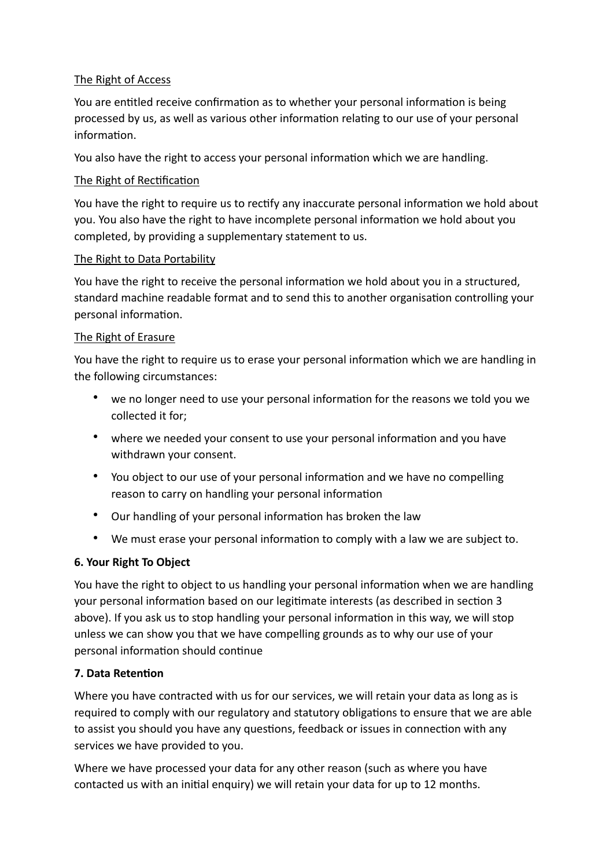### The Right of Access

You are entitled receive confirmation as to whether your personal information is being processed by us, as well as various other information relating to our use of your personal information.

You also have the right to access your personal information which we are handling.

### The Right of Rectification

You have the right to require us to rectify any inaccurate personal information we hold about you. You also have the right to have incomplete personal information we hold about you completed, by providing a supplementary statement to us.

#### The Right to Data Portability

You have the right to receive the personal information we hold about you in a structured, standard machine readable format and to send this to another organisation controlling your personal information.

#### The Right of Erasure

You have the right to require us to erase your personal information which we are handling in the following circumstances:

- we no longer need to use your personal information for the reasons we told you we collected it for;
- where we needed your consent to use your personal information and you have withdrawn your consent.
- You object to our use of your personal information and we have no compelling reason to carry on handling your personal information
- Our handling of your personal information has broken the law
- We must erase your personal information to comply with a law we are subject to.

### **6. Your Right To Object**

You have the right to object to us handling your personal information when we are handling your personal information based on our legitimate interests (as described in section 3 above). If you ask us to stop handling your personal information in this way, we will stop unless we can show you that we have compelling grounds as to why our use of your personal information should continue

### **7. Data Retention**

Where you have contracted with us for our services, we will retain your data as long as is required to comply with our regulatory and statutory obligations to ensure that we are able to assist you should you have any questions, feedback or issues in connection with any services we have provided to you.

Where we have processed your data for any other reason (such as where you have contacted us with an initial enquiry) we will retain your data for up to 12 months.